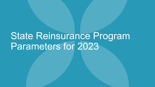# State Reinsurance Program Parameters for 2023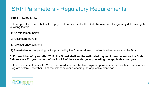# SRP Parameters - Regulatory Requirements

#### **COMAR 14.35.17.04**

B. Each year the Board shall set the payment parameters for the State Reinsurance Program by determining the following factors:

(1) An attachment point;

- (2) A coinsurance rate;
- (3) A reinsurance cap; and

(4) A market-level dampening factor provided by the Commissioner, if determined necessary by the Board.

#### **C. For each benefit year after 2019, the Board shall set the estimated payment parameters for the State Reinsurance Program on or before April 1 of the calendar year preceding the applicable plan year.**

D. For each benefit year after 2019, the Board shall set the final payment parameters for the State Reinsurance Program before December 31 of the calendar year preceding the applicable plan year.

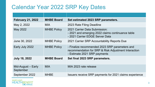## Calendar Year 2022 SRP Key Dates

| <b>February 21, 2022</b>          | <b>MHBE Board</b>  | Set estimated 2023 SRP parameters.                                                                                                     |  |
|-----------------------------------|--------------------|----------------------------------------------------------------------------------------------------------------------------------------|--|
| May 2, 2022                       | MIA.               | 2023 Rate Filing Deadline                                                                                                              |  |
| May 2022                          | <b>MHBE Policy</b> | 2021 Carrier Data Submission:<br>- 2021 and emerging 2022 claims continuance table<br>- 2021 Carrier EDGE Server Data                  |  |
| June 30, 2022                     | <b>MHBE Policy</b> | 2021 Carrier SRP Accountability Reports Due                                                                                            |  |
| Early July 2022                   | <b>MHBE Policy</b> | - Finalize recommended 2023 SRP parameters and<br>recommendation for SRP & Risk Adjustment Interaction<br>- Estimate 2021 SRP payments |  |
| <b>July 18, 2022</b>              | <b>MHBE Board</b>  | Set final 2023 SRP parameters.                                                                                                         |  |
| Mid-August $-$ Early<br>September | <b>MIA</b>         | MIA 2023 rate release                                                                                                                  |  |
| September 2022                    | <b>MHBE</b>        | Issuers receive SRP payments for 2021 claims experience                                                                                |  |

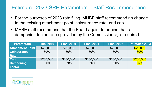#### Estimated 2023 SRP Parameters – Staff Recommendation

- For the purposes of 2023 rate filing, MHBE staff recommend no change to the existing attachment point, coinsurance rate, and cap.
- MHBE staff recommend that the Board again determine that a dampening factor, to be provided by the Commissioner, is required.

| <b>Parameters</b>       | <b>Final 2019</b> | <b>Final 2020</b> | <b>Final 2021</b> | <b>Final 2022</b> | <b>Estimated 2023</b> |
|-------------------------|-------------------|-------------------|-------------------|-------------------|-----------------------|
| <b>Attachment Point</b> | \$20,000          | \$20,000          | \$20,000          | \$20,000          | \$20,000              |
| <b>Coinsurance</b>      | $80\%$            | 80%               | 80%               | 80%               | 80%                   |
| <b>Rate</b>             |                   |                   |                   |                   |                       |
| Cap                     | \$250,000         | \$250,000         | \$250,000         | \$250,000         | \$250,000             |
| <b>Dampening</b>        | .800              | .785              | .760              | .805              | Yes                   |
| <b>Factor</b>           |                   |                   |                   |                   |                       |

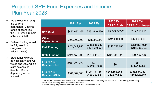#### Projected SRP Fund Expenses and Income: Plan Year 2023

- We project that using the current parameters, under a range of scenarios, the SRP would remain solvent in 2023.
- **Federal funding would** be fully used (no carryover to a following year).
- State funding would be necessary, and we would end 2023 with a state balance of \$245M - \$553M depending on the scenario.

|                                              | 2021 Est.     | <b>2022 Est.</b>                 | 2023 Est.:<br><b>ARPA Ends</b> | 2023 Est.:<br><b>ARPA Continues</b> |
|----------------------------------------------|---------------|----------------------------------|--------------------------------|-------------------------------------|
| <b>SRP Cost</b>                              | \$432,632,395 | \$491,646,596                    | \$505,995,722                  | \$514,515,711                       |
| <b>Other</b><br>Expenditures*                | \$100,000,000 | \$21,900,000                     | \$42,000,000                   | \$42,000,000                        |
| <b>Fed. Funding</b>                          | \$474,542,755 | \$336,886,680 -<br>\$474,560,974 | \$243,752,593                  | \$360,807,099 -<br>\$496,635,345    |
| <b>State Funding</b>                         | \$124,158,202 | \$126,945,429                    | \$129,795,226                  | \$129,795,226                       |
| <b>End of Year</b><br><b>Balance - Fed.</b>  | \$109,228,272 | $$0 -$<br>\$92,094,928           | \$0                            | $$0 -$<br>\$74,214,563              |
| <b>End of Year</b><br><b>Balance - State</b> | \$367,382,103 | \$420,748,165 -<br>\$466,327,531 | $$245,300,263-$<br>382,974,557 | \$353,834,780 -<br>\$553,122,757    |

\*Can only be funded with state dollars. 2021- Medicaid transfer; 2022 -YA subsidy and SPDAP; 2023 - YA subsidy, Health equity grants, and Community Health Resources Commission.

Cost and funding projections from Lewis & Ellis 10-year projections as of 2/3/22.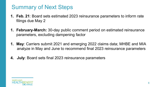## Summary of Next Steps

- **1. Feb. 21**: Board sets estimated 2023 reinsurance parameters to inform rate filings due May 2
- **1. February-March:** 30-day public comment period on estimated reinsurance parameters, excluding dampening factor
- **1. May**: Carriers submit 2021 and emerging 2022 claims data; MHBE and MIA analyze in May and June to recommend final 2023 reinsurance parameters
- **4. July**: Board sets final 2023 reinsurance parameters